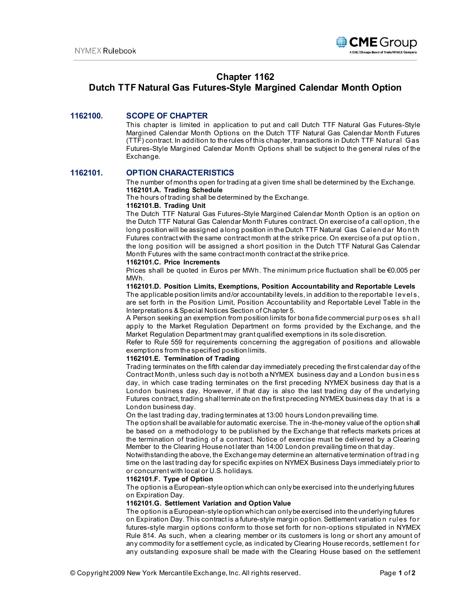

## **Chapter 1162**

# **Dutch TTF Natural Gas Futures-Style Margined Calendar Month Option**

## **1162100. SCOPE OF CHAPTER**

This chapter is limited in application to put and call Dutch TTF Natural Gas Futures-Style Margined Calendar Month Options on the Dutch TTF Natural Gas Calendar Month Futures (TTF) contract. In addition to the rules of this chapter, transactions in Dutch TTF Natural Gas Futures-Style Margined Calendar Month Options shall be subject to the general rules of the Exchange.

### **1162101. OPTION CHARACTERISTICS**

The number of months open for trading at a given time shall be determined by the Exchange. **1162101.A. Trading Schedule**

The hours of trading shall be determined by the Exchange.

#### **1162101.B. Trading Unit**

The Dutch TTF Natural Gas Futures-Style Margined Calendar Month Option is an option on the Dutch TTF Natural Gas Calendar Month Futures contract. On exercise of a call option, th e long position will be assigned a long position in the Dutch TTF Natural Gas Calendar Month Futures contract with the same contract month at the strike price. On exercise of a put op tion, the long position will be assigned a short position in the Dutch TTF Natural Gas Calendar Month Futures with the same contract month contract at the strike price.

#### **1162101.C. Price Increments**

Prices shall be quoted in Euros per MWh. The minimum price fluctuation shall be €0.005 per MWh.

#### **1162101.D. Position Limits, Exemptions, Position Accountability and Reportable Levels**

The applicable position limits and/or accountability levels, in addition to the reportable levels, are set forth in the Position Limit, Position Accountability and Reportable Level Table in the Interpretations & Special Notices Section of Chapter 5.

A Person seeking an exemption from position limits for bona fide commercial purp oses shall apply to the Market Regulation Department on forms provided by the Exchange, and the Market Regulation Department may grant qualified exemptions in its sole discretion.

Refer to Rule 559 for requirements concerning the aggregation of positions and allowable exemptions from the specified position limits.

#### **1162101.E. Termination of Trading**

Trading terminates on the fifth calendar day immediately preceding the first calendar day of the Contract Month, unless such day is not both a NYMEX business day and a London busi n ess day, in which case trading terminates on the first preceding NYMEX business day that is a London business day. However, if that day is also the last trading day of the underlying Futures contract, trading shall terminate on the first preceding NYMEX business day that is a London business day.

On the last trading day, trading terminates at 13:00 hours London prevailing time.

The option shall be available for automatic exercise. The in-the-money value of the option shall be based on a methodology to be published by the Exchange that reflects markets prices at the termination of trading of a contract. Notice of exercise must be delivered by a Clearing Member to the Clearing House not later than 14:00 London prevailing time on that day.

Notwithstanding the above, the Exchange may determine an alternative termination of trad i n g time on the last trading day for specific expiries on NYMEX Business Days immediately prior to or concurrent with local or U.S. holidays.

#### **1162101.F. Type of Option**

The option is a European-style option which can only be exercised into the underlying futures on Expiration Day.

#### **1162101.G. Settlement Variation and Option Value**

The option is a European-style option which can only be exercised into the underlying futures on Expiration Day. This contract is a future-style margin option. Settlement variation rules for futures-style margin options conform to those set forth for non-options stipulated in NYMEX Rule 814. As such, when a clearing member or its customers is long or short any amount of any commodity for a settlement cycle, as indicated by Clearing House records, settlemen t fo r any outstanding exposure shall be made with the Clearing House based on the settlement